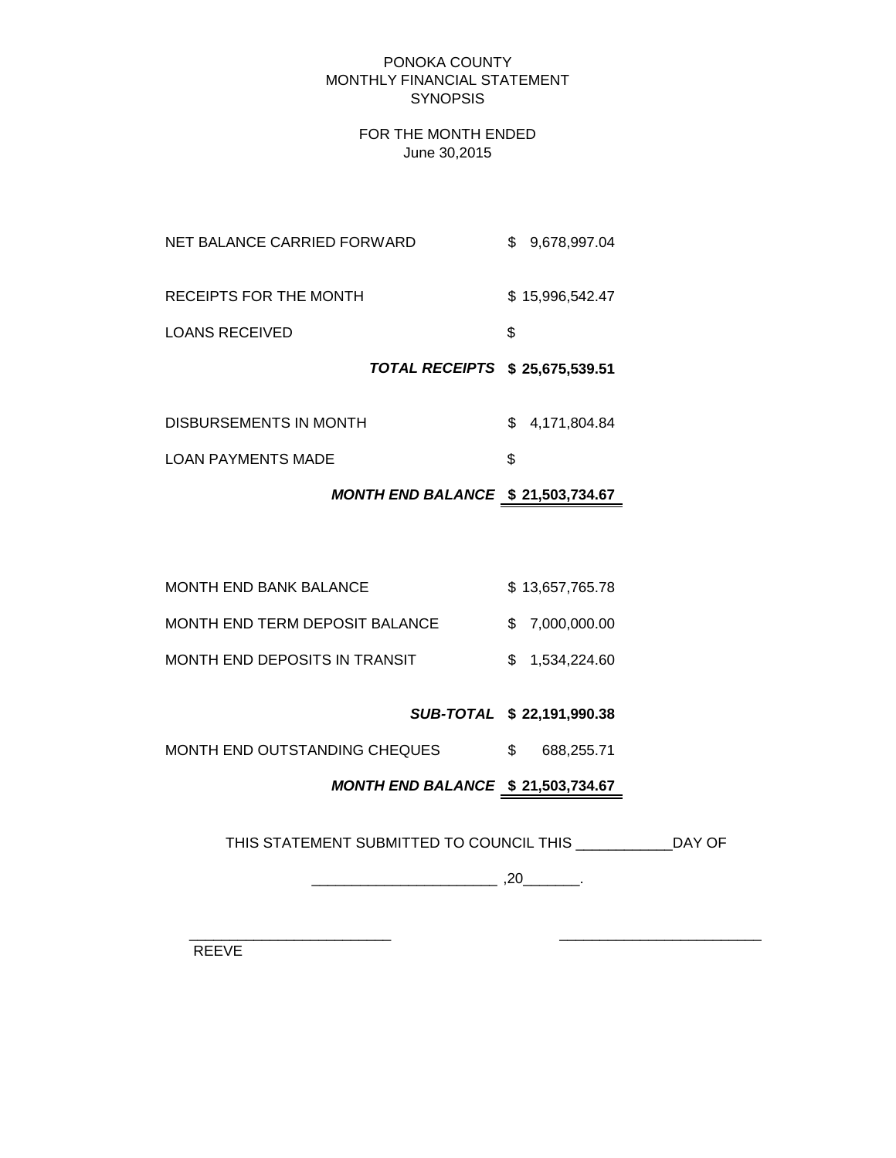#### PONOKA COUNTY MONTHLY FINANCIAL STATEMENT **SYNOPSIS**

#### FOR THE MONTH ENDED June 30,2015

|                             | TOTAL RECEIPTS \$25,675,539.51 |    |                 |
|-----------------------------|--------------------------------|----|-----------------|
| <b>LOANS RECEIVED</b>       |                                | S. |                 |
| RECEIPTS FOR THE MONTH      |                                |    | \$15,996,542.47 |
| NET BALANCE CARRIED FORWARD |                                |    | \$ 9.678.997.04 |

| DISBURSEMENTS IN MONTH    | \$4,171,804.84 |
|---------------------------|----------------|
| <b>LOAN PAYMENTS MADE</b> |                |

# *MONTH END BALANCE* **\$ 21,503,734.67**

| <b>MONTH END BANK BALANCE</b>  | \$13,657,765.78 |
|--------------------------------|-----------------|
| MONTH END TERM DEPOSIT BALANCE | \$ 7.000.000.00 |
| MONTH END DEPOSITS IN TRANSIT  | \$ 1.534,224,60 |

# *SUB-TOTAL* **\$ 22,191,990.38**

MONTH END OUTSTANDING CHEQUES  $$688,255.71$ 

# *MONTH END BALANCE* **\$ 21,503,734.67**

THIS STATEMENT SUBMITTED TO COUNCIL THIS \_\_\_\_\_\_\_\_\_\_\_\_DAY OF

\_\_\_\_\_\_\_\_\_\_\_\_\_\_\_\_\_\_\_\_\_\_\_ ,20\_\_\_\_\_\_\_.

 $\frac{1}{2}$  ,  $\frac{1}{2}$  ,  $\frac{1}{2}$  ,  $\frac{1}{2}$  ,  $\frac{1}{2}$  ,  $\frac{1}{2}$  ,  $\frac{1}{2}$  ,  $\frac{1}{2}$  ,  $\frac{1}{2}$  ,  $\frac{1}{2}$  ,  $\frac{1}{2}$  ,  $\frac{1}{2}$  ,  $\frac{1}{2}$  ,  $\frac{1}{2}$  ,  $\frac{1}{2}$  ,  $\frac{1}{2}$  ,  $\frac{1}{2}$  ,  $\frac{1}{2}$  ,  $\frac{1$ 

REEVE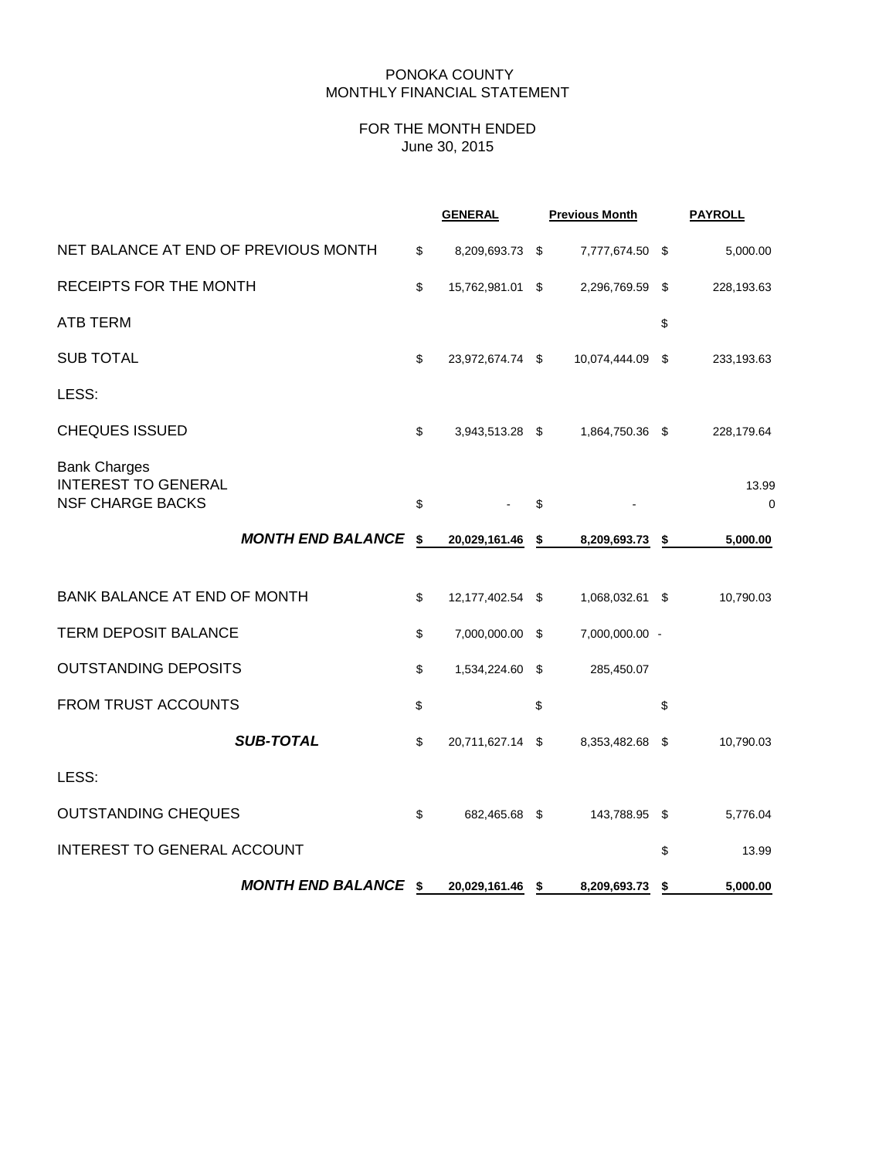#### PONOKA COUNTY MONTHLY FINANCIAL STATEMENT

# FOR THE MONTH ENDED June 30, 2015

|                                                                              |                             | <b>GENERAL</b>         | <b>Previous Month</b> |     | <b>PAYROLL</b>       |
|------------------------------------------------------------------------------|-----------------------------|------------------------|-----------------------|-----|----------------------|
| NET BALANCE AT END OF PREVIOUS MONTH                                         |                             | \$<br>8,209,693.73 \$  | 7,777,674.50 \$       |     | 5,000.00             |
| RECEIPTS FOR THE MONTH                                                       |                             | \$<br>15,762,981.01 \$ | 2,296,769.59          | \$  | 228,193.63           |
| <b>ATB TERM</b>                                                              |                             |                        |                       | \$  |                      |
| <b>SUB TOTAL</b>                                                             |                             | \$<br>23,972,674.74 \$ | 10,074,444.09         | \$  | 233,193.63           |
| LESS:                                                                        |                             |                        |                       |     |                      |
| <b>CHEQUES ISSUED</b>                                                        |                             | \$<br>3,943,513.28 \$  | 1,864,750.36 \$       |     | 228,179.64           |
| <b>Bank Charges</b><br><b>INTEREST TO GENERAL</b><br><b>NSF CHARGE BACKS</b> |                             | \$                     | \$                    |     | 13.99<br>$\mathbf 0$ |
|                                                                              | <b>MONTH END BALANCE</b>    | \$<br>20,029,161.46    | \$<br>8,209,693.73    | \$  | 5,000.00             |
| <b>BANK BALANCE AT END OF MONTH</b>                                          |                             | \$<br>12,177,402.54 \$ | 1,068,032.61 \$       |     | 10,790.03            |
| <b>TERM DEPOSIT BALANCE</b>                                                  |                             | \$<br>7,000,000.00 \$  | 7,000,000.00 -        |     |                      |
| <b>OUTSTANDING DEPOSITS</b>                                                  |                             | \$<br>1,534,224.60 \$  | 285,450.07            |     |                      |
| FROM TRUST ACCOUNTS                                                          |                             | \$                     | \$                    | \$  |                      |
|                                                                              | <b>SUB-TOTAL</b>            | \$<br>20,711,627.14 \$ | 8,353,482.68          | -\$ | 10,790.03            |
| LESS:                                                                        |                             |                        |                       |     |                      |
| <b>OUTSTANDING CHEQUES</b>                                                   |                             | \$<br>682,465.68 \$    | 143,788.95 \$         |     | 5,776.04             |
| <b>INTEREST TO GENERAL ACCOUNT</b>                                           |                             |                        |                       | \$  | 13.99                |
|                                                                              | <b>MONTH END BALANCE \$</b> | 20,029,161.46 \$       | 8,209,693.73          | \$  | 5,000.00             |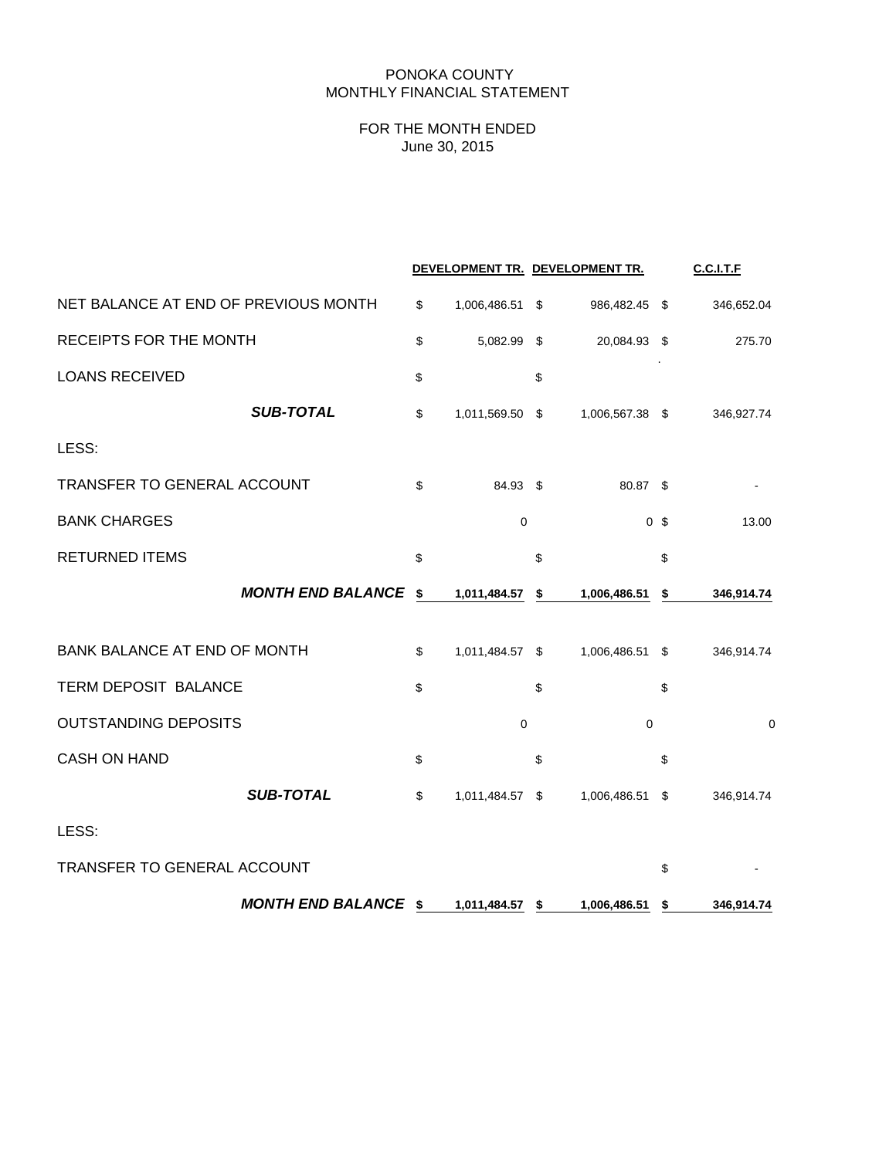#### PONOKA COUNTY MONTHLY FINANCIAL STATEMENT

# FOR THE MONTH ENDED June 30, 2015

|                                      |                       |      | DEVELOPMENT TR. DEVELOPMENT TR. |                | <b>C.C.I.T.F</b> |
|--------------------------------------|-----------------------|------|---------------------------------|----------------|------------------|
| NET BALANCE AT END OF PREVIOUS MONTH | \$<br>1,006,486.51    | - \$ | 986,482.45 \$                   |                | 346,652.04       |
| <b>RECEIPTS FOR THE MONTH</b>        | \$<br>5,082.99 \$     |      | 20,084.93 \$                    |                | 275.70           |
| <b>LOANS RECEIVED</b>                | \$                    | \$   |                                 |                |                  |
| <b>SUB-TOTAL</b>                     | \$<br>1,011,569.50 \$ |      | 1,006,567.38 \$                 |                | 346,927.74       |
| LESS:                                |                       |      |                                 |                |                  |
| TRANSFER TO GENERAL ACCOUNT          | \$<br>84.93 \$        |      | 80.87 \$                        |                |                  |
| <b>BANK CHARGES</b>                  | $\mathbf 0$           |      |                                 | 0 <sup>5</sup> | 13.00            |
| <b>RETURNED ITEMS</b>                | \$                    | \$   |                                 | \$             |                  |
| <b>MONTH END BALANCE</b>             | \$<br>1,011,484.57    | \$   | 1,006,486.51                    | \$             | 346,914.74       |
| <b>BANK BALANCE AT END OF MONTH</b>  | \$<br>1,011,484.57 \$ |      | 1,006,486.51 \$                 |                | 346,914.74       |
| TERM DEPOSIT BALANCE                 | \$                    | \$   |                                 | \$             |                  |
| <b>OUTSTANDING DEPOSITS</b>          | $\mathbf 0$           |      | $\mathbf 0$                     |                | $\mathbf 0$      |
| <b>CASH ON HAND</b>                  | \$                    | \$   |                                 | \$             |                  |
| <b>SUB-TOTAL</b>                     | \$<br>1,011,484.57 \$ |      | 1,006,486.51                    | \$             | 346,914.74       |
| LESS:                                |                       |      |                                 |                |                  |
| TRANSFER TO GENERAL ACCOUNT          |                       |      |                                 | \$             |                  |
| <b>MONTH END BALANCE \$</b>          | 1,011,484.57 \$       |      | 1,006,486.51                    | \$             | 346,914.74       |